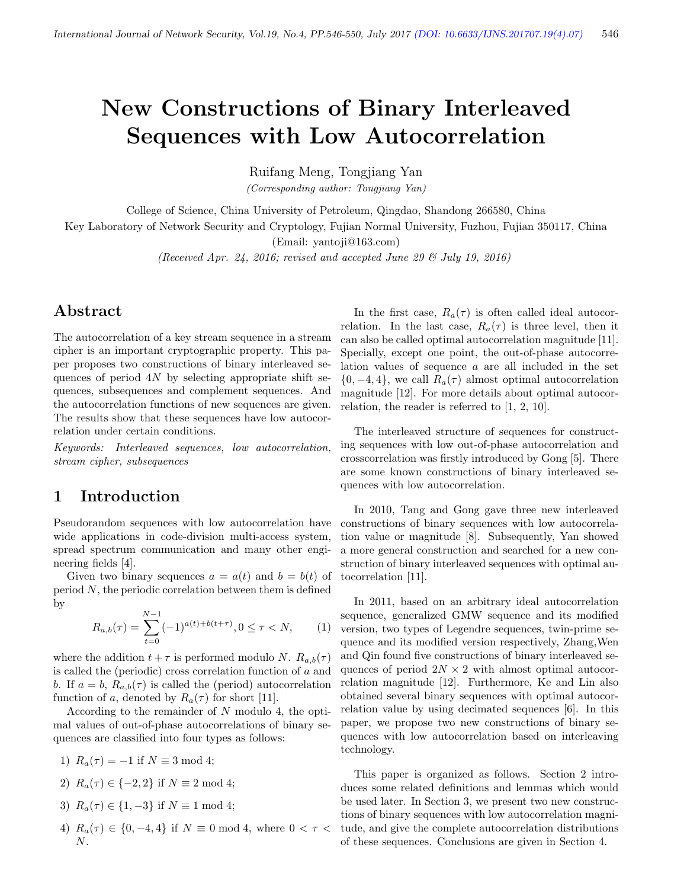# New Constructions of Binary Interleaved Sequences with Low Autocorrelation

Ruifang Meng, Tongjiang Yan

(Corresponding author: Tongjiang Yan)

College of Science, China University of Petroleum, Qingdao, Shandong 266580, China

Key Laboratory of Network Security and Cryptology, Fujian Normal University, Fuzhou, Fujian 350117, China

(Email: yantoji@163.com)

(Received Apr. 24, 2016; revised and accepted June 29  $\mathcal C$  July 19, 2016)

# Abstract

The autocorrelation of a key stream sequence in a stream cipher is an important cryptographic property. This paper proposes two constructions of binary interleaved sequences of period  $4N$  by selecting appropriate shift sequences, subsequences and complement sequences. And the autocorrelation functions of new sequences are given. The results show that these sequences have low autocorrelation under certain conditions.

Keywords: Interleaved sequences, low autocorrelation, stream cipher, subsequences

# 1 Introduction

Pseudorandom sequences with low autocorrelation have wide applications in code-division multi-access system, spread spectrum communication and many other engineering fields [4].

Given two binary sequences  $a = a(t)$  and  $b = b(t)$  of  $period N$ , the periodic correlation between them is defined by

$$
R_{a,b}(\tau) = \sum_{t=0}^{N-1} (-1)^{a(t)+b(t+\tau)}, 0 \le \tau < N,\qquad(1)
$$

where the addition  $t + \tau$  is performed modulo N.  $R_{a,b}(\tau)$ is called the (periodic) cross correlation function of a and b. If  $a = b$ ,  $R_{a,b}(\tau)$  is called the (period) autocorrelation function of a, denoted by  $R_a(\tau)$  for short [11].

According to the remainder of N modulo 4, the optimal values of out-of-phase autocorrelations of binary sequences are classified into four types as follows:

- 1)  $R_a(\tau) = -1$  if  $N \equiv 3 \mod 4$ ;
- 2)  $R_a(\tau) \in \{-2, 2\}$  if  $N \equiv 2 \text{ mod } 4;$
- 3)  $R_a(\tau) \in \{1, -3\}$  if  $N \equiv 1 \mod 4$ ;
- 4)  $R_a(\tau) \in \{0, -4, 4\}$  if  $N \equiv 0 \mod 4$ , where  $0 < \tau <$ N.

In the first case,  $R_a(\tau)$  is often called ideal autocorrelation. In the last case,  $R_a(\tau)$  is three level, then it can also be called optimal autocorrelation magnitude [11]. Specially, except one point, the out-of-phase autocorrelation values of sequence a are all included in the set  $\{0, -4, 4\}$ , we call  $R_a(\tau)$  almost optimal autocorrelation magnitude [12]. For more details about optimal autocorrelation, the reader is referred to [1, 2, 10].

The interleaved structure of sequences for constructing sequences with low out-of-phase autocorrelation and crosscorrelation was firstly introduced by Gong [5]. There are some known constructions of binary interleaved sequences with low autocorrelation.

In 2010, Tang and Gong gave three new interleaved constructions of binary sequences with low autocorrelation value or magnitude [8]. Subsequently, Yan showed a more general construction and searched for a new construction of binary interleaved sequences with optimal autocorrelation [11].

In 2011, based on an arbitrary ideal autocorrelation sequence, generalized GMW sequence and its modified version, two types of Legendre sequences, twin-prime sequence and its modified version respectively, Zhang,Wen and Qin found five constructions of binary interleaved sequences of period  $2N \times 2$  with almost optimal autocorrelation magnitude [12]. Furthermore, Ke and Lin also obtained several binary sequences with optimal autocorrelation value by using decimated sequences [6]. In this paper, we propose two new constructions of binary sequences with low autocorrelation based on interleaving technology.

This paper is organized as follows. Section 2 introduces some related definitions and lemmas which would be used later. In Section 3, we present two new constructions of binary sequences with low autocorrelation magnitude, and give the complete autocorrelation distributions of these sequences. Conclusions are given in Section 4.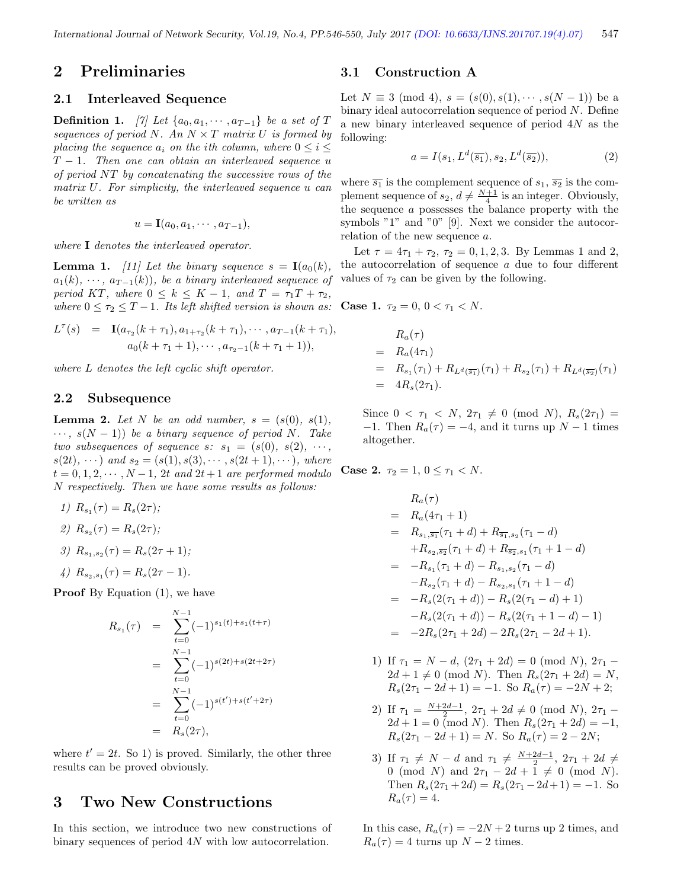### 2 Preliminaries

#### 2.1 Interleaved Sequence

**Definition 1.** [7] Let  $\{a_0, a_1, \dots, a_{T-1}\}$  be a set of T sequences of period N. An  $N \times T$  matrix U is formed by placing the sequence  $a_i$  on the ith column, where  $0 \leq i \leq$  $T-1$ . Then one can obtain an interleaved sequence u of period NT by concatenating the successive rows of the matrix U. For simplicity, the interleaved sequence u can be written as

$$
u = \mathbf{I}(a_0, a_1, \cdots, a_{T-1}),
$$

where **I** denotes the interleaved operator.

**Lemma 1.** [11] Let the binary sequence  $s = I(a_0(k))$ ,  $a_1(k), \cdots, a_{T-1}(k)$ , be a binary interleaved sequence of period KT, where  $0 \leq k \leq K-1$ , and  $T = \tau_1 T + \tau_2$ , where  $0 \leq \tau_2 \leq T-1$ . Its left shifted version is shown as: Case 1.  $\tau_2 = 0, 0 < \tau_1 < N$ .

$$
L^{\tau}(s) = \mathbf{I}(a_{\tau_2}(k+\tau_1), a_{1+\tau_2}(k+\tau_1), \cdots, a_{T-1}(k+\tau_1),
$$
  
\n
$$
a_0(k+\tau_1+1), \cdots, a_{\tau_2-1}(k+\tau_1+1)),
$$

where L denotes the left cyclic shift operator.

#### 2.2 Subsequence

**Lemma 2.** Let N be an odd number,  $s = (s(0), s(1))$ ,  $\cdots$ ,  $s(N-1)$ ) be a binary sequence of period N. Take two subsequences of sequence s:  $s_1 = (s(0), s(2), \cdots, s_1)$  $s(2t), \cdots$ ) and  $s_2 = (s(1), s(3), \cdots, s(2t+1), \cdots)$ , where  $t = 0, 1, 2, \cdots, N-1$ , 2t and  $2t+1$  are performed modulo N respectively. Then we have some results as follows:

1)  $R_{s_1}(\tau) = R_s(2\tau);$ 

$$
2) R_{s_2}(\tau) = R_s(2\tau);
$$

3) 
$$
R_{s_1,s_2}(\tau) = R_s(2\tau + 1);
$$

4) 
$$
R_{s_2,s_1}(\tau) = R_s(2\tau - 1).
$$

**Proof** By Equation  $(1)$ , we have

$$
R_{s_1}(\tau) = \sum_{t=0}^{N-1} (-1)^{s_1(t) + s_1(t+\tau)}
$$
  
= 
$$
\sum_{t=0}^{N-1} (-1)^{s(2t) + s(2t+2\tau)}
$$
  
= 
$$
\sum_{t=0}^{N-1} (-1)^{s(t') + s(t' + 2\tau)}
$$
  
= 
$$
R_s(2\tau),
$$

where  $t' = 2t$ . So 1) is proved. Similarly, the other three results can be proved obviously.

## 3 Two New Constructions

In this section, we introduce two new constructions of binary sequences of period 4N with low autocorrelation.

#### 3.1 Construction A

Let  $N \equiv 3 \pmod{4}$ ,  $s = (s(0), s(1), \dots, s(N-1))$  be a binary ideal autocorrelation sequence of period N. Define a new binary interleaved sequence of period 4N as the following:

$$
a = I(s_1, L^d(\overline{s_1}), s_2, L^d(\overline{s_2})),
$$
\n(2)

where  $\overline{s_1}$  is the complement sequence of  $s_1$ ,  $\overline{s_2}$  is the complement sequence of  $s_2$ ,  $d \neq \frac{N+1}{4}$  is an integer. Obviously, the sequence a possesses the balance property with the symbols "1" and "0" [9]. Next we consider the autocorrelation of the new sequence a.

Let  $\tau = 4\tau_1 + \tau_2$ ,  $\tau_2 = 0, 1, 2, 3$ . By Lemmas 1 and 2, the autocorrelation of sequence a due to four different values of  $\tau_2$  can be given by the following.

$$
R_a(\tau)
$$
  
=  $R_a(4\tau_1)$   
=  $R_{s_1}(\tau_1) + R_{L^d(\overline{s_1})}(\tau_1) + R_{s_2}(\tau_1) + R_{L^d(\overline{s_2})}(\tau_1)$   
=  $4R_s(2\tau_1)$ .

Since  $0 < \tau_1 < N$ ,  $2\tau_1 \neq 0 \pmod{N}$ ,  $R_s(2\tau_1) =$ −1. Then  $R_a(\tau) = -4$ , and it turns up  $N-1$  times altogether.

**Case 2.**  $\tau_2 = 1, 0 \leq \tau_1 < N$ .

$$
R_a(\tau)
$$
  
=  $R_a(4\tau_1 + 1)$   
=  $R_{s_1, \overline{s_1}}(\tau_1 + d) + R_{\overline{s_1}, s_2}(\tau_1 - d)$   
+  $R_{s_2, \overline{s_2}}(\tau_1 + d) + R_{\overline{s_2}, s_1}(\tau_1 + 1 - d)$   
=  $-R_{s_1}(\tau_1 + d) - R_{s_1, s_2}(\tau_1 - d)$   
-  $R_{s_2}(\tau_1 + d) - R_{s_2, s_1}(\tau_1 + 1 - d)$   
=  $-R_s(2(\tau_1 + d)) - R_s(2(\tau_1 - d) + 1)$   
-  $R_s(2(\tau_1 + d)) - R_s(2(\tau_1 + 1 - d) - 1)$   
=  $-2R_s(2\tau_1 + 2d) - 2R_s(2\tau_1 - 2d + 1).$ 

- 1) If  $\tau_1 = N d$ ,  $(2\tau_1 + 2d) = 0 \pmod{N}$ ,  $2\tau_1$   $2d + 1 \neq 0 \pmod{N}$ . Then  $R_s(2\tau_1 + 2d) = N$ ,  $R_s(2\tau_1 - 2d + 1) = -1.$  So  $R_a(\tau) = -2N + 2;$
- 2) If  $\tau_1 = \frac{N+2d-1}{2}$ ,  $2\tau_1 + 2d \neq 0 \pmod{N}$ ,  $2\tau_1$  $2d + 1 = 0$  (mod N). Then  $R_s(2\tau_1 + 2d) = -1$ ,  $R_s(2\tau_1 - 2d + 1) = N$ . So  $R_a(\tau) = 2 - 2N$ ;
- 3) If  $\tau_1 \neq N d$  and  $\tau_1 \neq \frac{N+2d-1}{2}$ ,  $2\tau_1 + 2d \neq$ 0 (mod N) and  $2\tau_1 - 2d + \overline{1} \neq 0$  (mod N). Then  $R_s(2\tau_1+2d) = R_s(2\tau_1-2d+1) = -1$ . So  $R_a(\tau) = 4.$

In this case,  $R_a(\tau) = -2N + 2$  turns up 2 times, and  $R_a(\tau) = 4$  turns up  $N - 2$  times.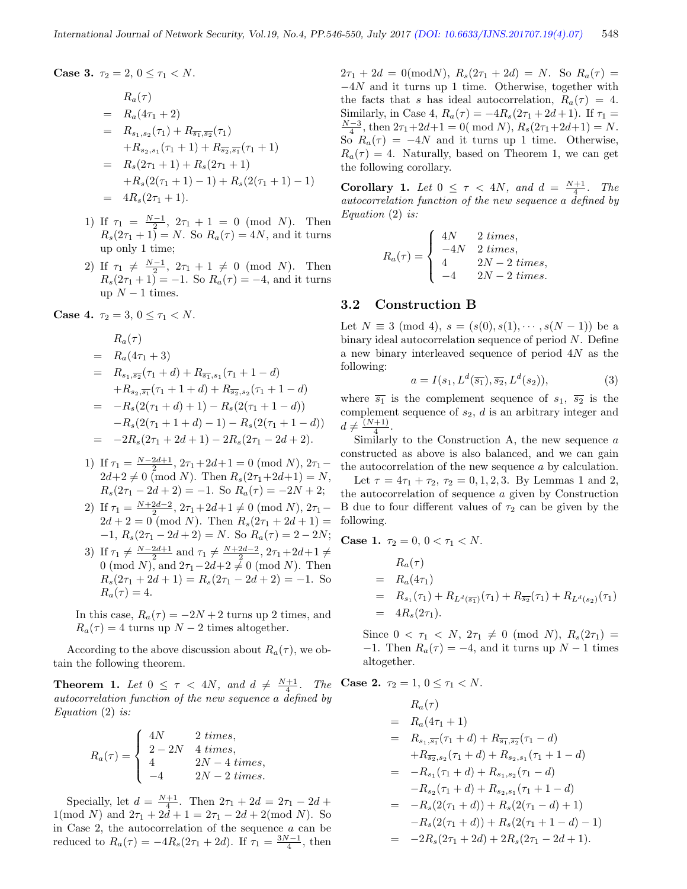Case 3.  $\tau_2 = 2, 0 \leq \tau_1 < N$ .

$$
R_a(\tau)
$$
  
=  $R_a(4\tau_1 + 2)$   
=  $R_{s_1,s_2}(\tau_1) + R_{\overline{s_1},\overline{s_2}}(\tau_1)$   
+  $R_{s_2,s_1}(\tau_1 + 1) + R_{\overline{s_2},\overline{s_1}}(\tau_1 + 1)$   
=  $R_s(2\tau_1 + 1) + R_s(2\tau_1 + 1)$   
+  $R_s(2(\tau_1 + 1) - 1) + R_s(2(\tau_1 + 1) - 1)$   
=  $4R_s(2\tau_1 + 1)$ .

- 1) If  $\tau_1 = \frac{N-1}{2}$ ,  $2\tau_1 + 1 = 0 \pmod{N}$ . Then  $R_s(2\tau_1 + 1) = N$ . So  $R_a(\tau) = 4N$ , and it turns up only 1 time;
- 2) If  $\tau_1 \neq \frac{N-1}{2}$ ,  $2\tau_1 + 1 \neq 0 \pmod{N}$ . Then  $R_s(2\tau_1 + 1) = -1.$  So  $R_a(\tau) = -4$ , and it turns up  $N-1$  times.

Case 4.  $\tau_2 = 3, 0 \leq \tau_1 < N$ .

$$
R_a(\tau)
$$
  
=  $R_a(4\tau_1 + 3)$   
=  $R_{s_1,s_2}(\tau_1 + d) + R_{\overline{s_1},s_1}(\tau_1 + 1 - d)$   
+  $R_{s_2,\overline{s_1}}(\tau_1 + 1 + d) + R_{\overline{s_2},s_2}(\tau_1 + 1 - d)$   
=  $-R_s(2(\tau_1 + d) + 1) - R_s(2(\tau_1 + 1 - d))$   
-  $R_s(2(\tau_1 + 1 + d) - 1) - R_s(2(\tau_1 + 1 - d))$   
=  $-2R_s(2\tau_1 + 2d + 1) - 2R_s(2\tau_1 - 2d + 2).$ 

- 1) If  $\tau_1 = \frac{N-2d+1}{2}$ ,  $2\tau_1 + 2d+1 = 0 \pmod{N}$ ,  $2\tau_1$  $2d+2 \neq 0 \pmod{N}$ . Then  $R_s(2\tau_1+2d+1) = N$ ,  $R_s(2\tau_1 - 2d + 2) = -1.$  So  $R_a(\tau) = -2N + 2;$
- 2) If  $\tau_1 = \frac{N+2d-2}{2}$ ,  $2\tau_1 + 2d+1 \neq 0 \pmod{N}$ ,  $2\tau_1$  $2d + 2 = 0 \pmod{N}$ . Then  $R_s(2\tau_1 + 2d + 1) =$  $-1, R_s(2\tau_1 - 2d + 2) = N.$  So  $R_a(\tau) = 2 - 2N;$
- 3) If  $\tau_1 \neq \frac{N-2d+1}{2}$  and  $\tau_1 \neq \frac{N+2d-2}{2}$ ,  $2\tau_1 + 2d+1 \neq$ 0 (mod N), and  $2\tau_1-2d+2\neq 0$  (mod N). Then  $R_s(2\tau_1 + 2d + 1) = R_s(2\tau_1 - 2d + 2) = -1.$  So  $R_a(\tau) = 4.$

In this case,  $R_a(\tau) = -2N + 2$  turns up 2 times, and  $R_a(\tau) = 4$  turns up  $N - 2$  times altogether.

According to the above discussion about  $R_a(\tau)$ , we obtain the following theorem.

**Theorem 1.** Let  $0 \leq \tau < 4N$ , and  $d \neq \frac{N+1}{4}$ . The autocorrelation function of the new sequence a defined by Equation  $(2)$  is:

$$
R_a(\tau) = \begin{cases} 4N & 2 \; times, \\ 2 - 2N & 4 \; times, \\ 4 & 2N - 4 \; times, \\ -4 & 2N - 2 \; times. \end{cases}
$$

Specially, let  $d = \frac{N+1}{4}$ . Then  $2\tau_1 + 2d = 2\tau_1 - 2d +$  $1(\text{mod } N)$  and  $2\tau_1 + 2d + 1 = 2\tau_1 - 2d + 2(\text{mod } N)$ . So in Case 2, the autocorrelation of the sequence  $a$  can be reduced to  $R_a(\tau) = -4R_s(2\tau_1 + 2d)$ . If  $\tau_1 = \frac{3N-1}{4}$ , then

 $2\tau_1 + 2d = 0 \pmod{N}, R_s(2\tau_1 + 2d) = N.$  So  $R_a(\tau) =$ −4N and it turns up 1 time. Otherwise, together with the facts that s has ideal autocorrelation,  $R_a(\tau) = 4$ . Similarly, in Case 4,  $R_a(\tau) = -4R_s(2\tau_1 + 2d + 1)$ . If  $\tau_1 =$  $\frac{N-3}{4}$ , then  $2\tau_1+2d+1=0$  (mod N),  $R_s(2\tau_1+2d+1)=N$ . So  $R_a(\tau) = -4N$  and it turns up 1 time. Otherwise,  $R_a(\tau) = 4$ . Naturally, based on Theorem 1, we can get the following corollary.

**Corollary 1.** Let  $0 \leq \tau < 4N$ , and  $d = \frac{N+1}{4}$ . The autocorrelation function of the new sequence a defined by Equation (2) is:

$$
R_a(\tau) = \begin{cases} 4N & 2 \ times, \\ -4N & 2 \ times, \\ 4 & 2N - 2 \ times, \\ -4 & 2N - 2 \ times. \end{cases}
$$

#### 3.2 Construction B

Let  $N \equiv 3 \pmod{4}$ ,  $s = (s(0), s(1), \dots, s(N-1))$  be a binary ideal autocorrelation sequence of period N. Define a new binary interleaved sequence of period 4N as the following:

$$
a = I(s_1, L^d(\overline{s_1}), \overline{s_2}, L^d(s_2)),\tag{3}
$$

where  $\overline{s_1}$  is the complement sequence of  $s_1$ ,  $\overline{s_2}$  is the complement sequence of  $s_2$ ,  $d$  is an arbitrary integer and  $d \neq \frac{(N+1)}{4}$  $\frac{+1}{4}$ .

Similarly to the Construction A, the new sequence a constructed as above is also balanced, and we can gain the autocorrelation of the new sequence a by calculation. Let  $\tau = 4\tau_1 + \tau_2$ ,  $\tau_2 = 0, 1, 2, 3$ . By Lemmas 1 and 2, the autocorrelation of sequence a given by Construction B due to four different values of  $\tau_2$  can be given by the following.

Case 1.  $\tau_2 = 0, 0 < \tau_1 < N$ .

$$
R_a(\tau)
$$
  
=  $R_a(4\tau_1)$   
=  $R_{s_1}(\tau_1) + R_{L^d(\overline{s_1})}(\tau_1) + R_{\overline{s_2}}(\tau_1) + R_{L^d(s_2)}(\tau_1)$   
=  $4R_s(2\tau_1)$ .

Since  $0 < \tau_1 < N$ ,  $2\tau_1 \neq 0 \pmod{N}$ ,  $R_s(2\tau_1) =$  $-1$ . Then  $R_a(\tau) = -4$ , and it turns up  $N-1$  times altogether.

Case 2. 
$$
\tau_2 = 1, 0 \le \tau_1 < N
$$
.

$$
R_a(\tau)
$$
  
=  $R_a(4\tau_1 + 1)$   
=  $R_{s_1, \overline{s_1}}(\tau_1 + d) + R_{\overline{s_1}, \overline{s_2}}(\tau_1 - d)$   
+  $R_{\overline{s_2}, s_2}(\tau_1 + d) + R_{s_2, s_1}(\tau_1 + 1 - d)$   
=  $-R_{s_1}(\tau_1 + d) + R_{s_1, s_2}(\tau_1 - d)$   
-  $R_{s_2}(\tau_1 + d) + R_{s_2, s_1}(\tau_1 + 1 - d)$   
=  $-R_s(2(\tau_1 + d)) + R_s(2(\tau_1 - d) + 1)$   
-  $R_s(2(\tau_1 + d)) + R_s(2(\tau_1 + 1 - d) - 1)$   
=  $-2R_s(2\tau_1 + 2d) + 2R_s(2\tau_1 - 2d + 1).$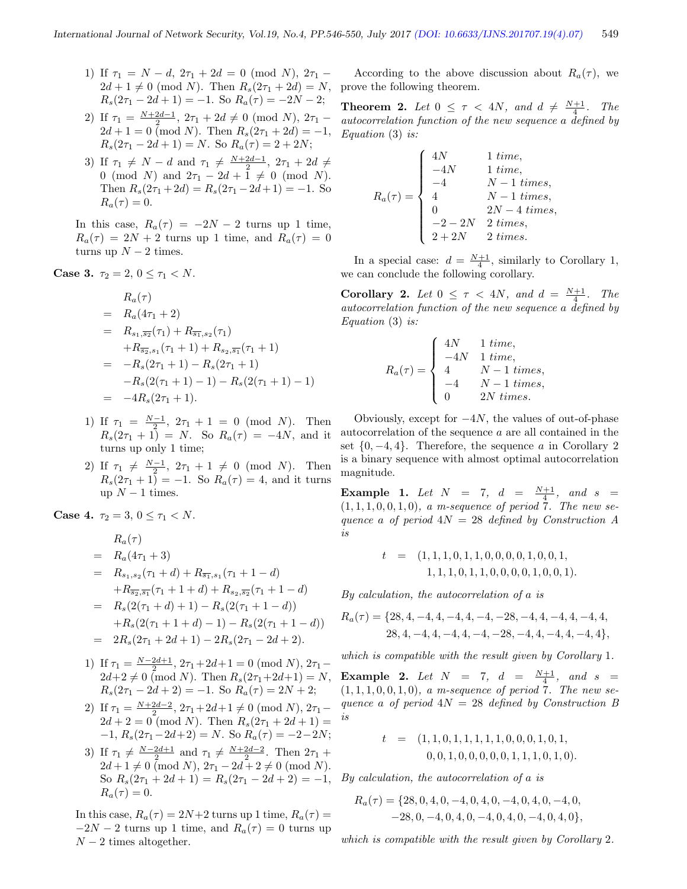- 1) If  $\tau_1 = N d$ ,  $2\tau_1 + 2d = 0 \pmod{N}$ ,  $2\tau_1$   $2d + 1 \neq 0 \pmod{N}$ . Then  $R_s(2\tau_1 + 2d) = N$ ,  $R_s(2\tau_1 - 2d + 1) = -1.$  So  $R_a(\tau) = -2N - 2;$
- 2) If  $\tau_1 = \frac{N+2d-1}{2}$ ,  $2\tau_1 + 2d \neq 0 \pmod{N}$ ,  $2\tau_1$  $2d + 1 = 0$  (mod N). Then  $R_s(2\tau_1 + 2d) = -1$ ,  $R_s(2\tau_1 - 2d + 1) = N$ . So  $R_a(\tau) = 2 + 2N$ ;
- 3) If  $\tau_1 \neq N d$  and  $\tau_1 \neq \frac{N+2d-1}{2}$ ,  $2\tau_1 + 2d \neq$ 0 (mod N) and  $2\tau_1 - 2d + 1 \neq 0$  (mod N). Then  $R_s(2\tau_1 + 2d) = R_s(2\tau_1 - 2d + 1) = -1$ . So  $R_a(\tau) = 0.$

In this case,  $R_a(\tau) = -2N - 2$  turns up 1 time,  $R_a(\tau) = 2N + 2$  turns up 1 time, and  $R_a(\tau) = 0$ turns up  $N-2$  times.

Case 3.  $\tau_2 = 2, 0 \leq \tau_1 < N$ .

$$
R_a(\tau)
$$
  
=  $R_a(4\tau_1 + 2)$   
=  $R_{s_1, \overline{s_2}}(\tau_1) + R_{\overline{s_1}, s_2}(\tau_1)$   
+  $R_{\overline{s_2}, s_1}(\tau_1 + 1) + R_{s_2, \overline{s_1}}(\tau_1 + 1)$   
=  $-R_s(2\tau_1 + 1) - R_s(2\tau_1 + 1)$   
-  $R_s(2(\tau_1 + 1) - 1) - R_s(2(\tau_1 + 1) - 1)$   
=  $-4R_s(2\tau_1 + 1).$ 

- 1) If  $\tau_1 = \frac{N-1}{2}$ ,  $2\tau_1 + 1 = 0 \pmod{N}$ . Then  $R_s(2\tau_1 + 1) = N$ . So  $R_a(\tau) = -4N$ , and it turns up only 1 time;
- 2) If  $\tau_1 \neq \frac{N-1}{2}$ ,  $2\tau_1 + 1 \neq 0 \pmod{N}$ . Then  $R_s(2\tau_1 + 1) = -1.$  So  $R_a(\tau) = 4$ , and it turns up  $N-1$  times.

Case 4.  $\tau_2 = 3, 0 \leq \tau_1 < N$ .

$$
R_a(\tau)
$$
  
=  $R_a(4\tau_1 + 3)$   
=  $R_{s_1,s_2}(\tau_1 + d) + R_{\overline{s_1},s_1}(\tau_1 + 1 - d)$   
+  $R_{\overline{s_2},\overline{s_1}}(\tau_1 + 1 + d) + R_{s_2,\overline{s_2}}(\tau_1 + 1 - d)$   
=  $R_s(2(\tau_1 + d) + 1) - R_s(2(\tau_1 + 1 - d))$   
+  $R_s(2(\tau_1 + 1 + d) - 1) - R_s(2(\tau_1 + 1 - d))$   
=  $2R_s(2\tau_1 + 2d + 1) - 2R_s(2\tau_1 - 2d + 2).$ 

- 1) If  $\tau_1 = \frac{N-2d+1}{2}$ ,  $2\tau_1 + 2d+1 = 0 \pmod{N}$ ,  $2\tau_1$  $2d+2 \neq 0 \pmod{N}$ . Then  $R_s(2\tau_1+2d+1) = N$ ,  $R_s(2\tau_1 - 2d + 2) = -1.$  So  $R_a(\tau) = 2N + 2;$
- 2) If  $\tau_1 = \frac{N+2d-2}{2}$ ,  $2\tau_1 + 2d+1 \neq 0 \pmod{N}$ ,  $2\tau_1$  $2d + 2 = 0 \pmod{N}$ . Then  $R_s(2\tau_1 + 2d + 1) =$  $-1, R_s(2\tau_1 - 2d + 2) = N$ . So  $R_a(\tau) = -2 - 2N$ ;
- 3) If  $\tau_1 \neq \frac{N-2d+1}{2}$  and  $\tau_1 \neq \frac{N+2d-2}{2}$ . Then  $2\tau_1$  +  $2d+1 \neq 0 \pmod{N}, 2\tau_1 - 2d + 2 \neq 0 \pmod{N}.$ So  $R_s(2\tau_1+2d+1) = R_s(2\tau_1-2d+2) = -1$ , By calculation, the autocorrelation of a is  $R_a(\tau) = 0.$

In this case,  $R_a(\tau) = 2N+2$  turns up 1 time,  $R_a(\tau) =$  $-2N-2$  turns up 1 time, and  $R_a(\tau) = 0$  turns up  $N-2$  times altogether.

According to the above discussion about  $R_a(\tau)$ , we prove the following theorem.

**Theorem 2.** Let  $0 \leq \tau < 4N$ , and  $d \neq \frac{N+1}{4}$ . The autocorrelation function of the new sequence a defined by Equation (3) is:

$$
R_a(\tau) = \begin{cases} 4N & 1 \; time, \\ -4N & 1 \; time, \\ -4 & N-1 \; times, \\ 4 & N-1 \; times, \\ 0 & 2N-4 \; times, \\ -2-2N & 2 \; times, \\ 2+2N & 2 \; times. \end{cases}
$$

In a special case:  $d = \frac{N+1}{4}$ , similarly to Corollary 1, we can conclude the following corollary.

**Corollary 2.** Let  $0 \leq \tau < 4N$ , and  $d = \frac{N+1}{4}$ . The autocorrelation function of the new sequence a defined by Equation (3) is:

$$
R_a(\tau) = \begin{cases} 4N & 1 \ time, \\ -4N & 1 \ time, \\ 4 & N-1 \ times, \\ -4 & N-1 \ times, \\ 0 & 2N \ times. \end{cases}
$$

Obviously, except for  $-4N$ , the values of out-of-phase autocorrelation of the sequence a are all contained in the set  $\{0, -4, 4\}$ . Therefore, the sequence a in Corollary 2 is a binary sequence with almost optimal autocorrelation magnitude.

**Example 1.** Let  $N = 7$ ,  $d = \frac{N+1}{4}$ , and  $s =$  $(1, 1, 1, 0, 0, 1, 0), a$  m-sequence of period 7. The new sequence a of period  $4N = 28$  defined by Construction A is

$$
t = (1, 1, 1, 0, 1, 1, 0, 0, 0, 0, 1, 0, 0, 1, 1, 1, 1, 0, 1, 1, 0, 0, 0, 0, 1, 0, 0, 1).
$$

By calculation, the autocorrelation of a is

$$
R_a(\tau) = \{28, 4, -4, 4, -4, 4, -4, -28, -4, 4, -4, 4, -4, 4, 28, 4, -4, 4, -4, 4, -4, -28, -4, 4, -4, 4, -4, 4\},\
$$

which is compatible with the result given by Corollary 1.

**Example 2.** Let  $N = 7$ ,  $d = \frac{N+1}{4}$ , and  $s =$  $(1, 1, 1, 0, 0, 1, 0),$  a m-sequence of period  $\overline{7}$ . The new sequence a of period  $4N = 28$  defined by Construction B is

$$
t = (1, 1, 0, 1, 1, 1, 1, 1, 0, 0, 0, 1, 0, 1, 0, 0, 0, 1, 0, 1, 0, 0, 0, 0, 0, 0, 1, 1, 1, 0, 1, 0).
$$

$$
R_a(\tau) = \{28, 0, 4, 0, -4, 0, 4, 0, -4, 0, 4, 0, -4, 0, -28, 0, -4, 0, 4, 0, -4, 0, 4, 0, -4, 0, 4, 0\},\
$$

which is compatible with the result given by Corollary 2.